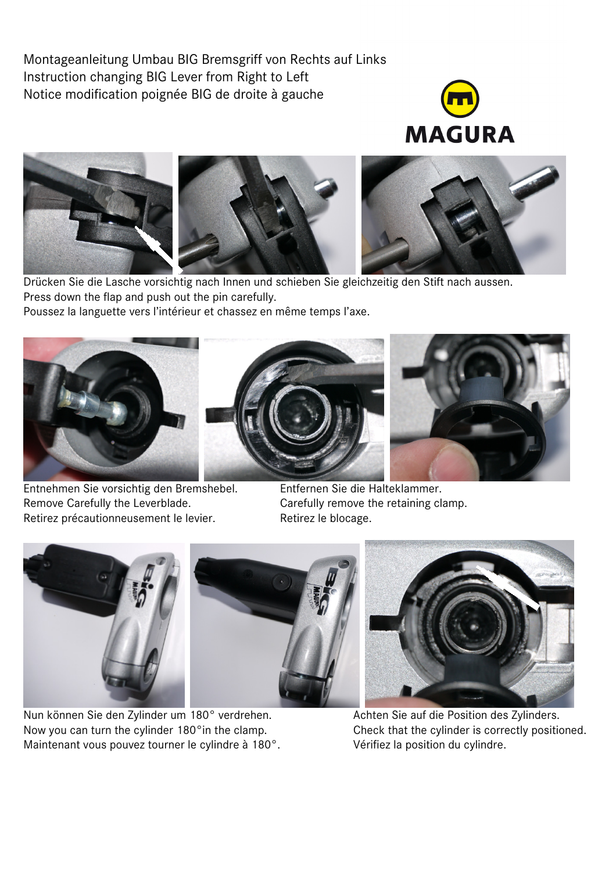Montageanleitung Umbau BIG Bremsgriff von Rechts auf Links Instruction changing BIG Lever from Right to Left Notice modification poignée BIG de droite à gauche





Drücken Sie die Lasche vorsichtig nach Innen und schieben Sie gleichzeitig den Stift nach aussen. Press down the flap and push out the pin carefully. Poussez la languette vers l'intérieur et chassez en même temps l'axe.



Entnehmen Sie vorsichtig den Bremshebel. Entfernen Sie die Halteklammer. Remove Carefully the Leverblade. Carefully remove the retaining clamp. Retirez précautionneusement le levier. Retirez le blocage.



Nun können Sie den Zylinder um 180° verdrehen. Achten Sie auf die Position des Zylinders. Now you can turn the cylinder 180°in the clamp. Check that the cylinder is correctly positioned. Maintenant vous pouvez tourner le cylindre à 180°. Vérifiez la position du cylindre.